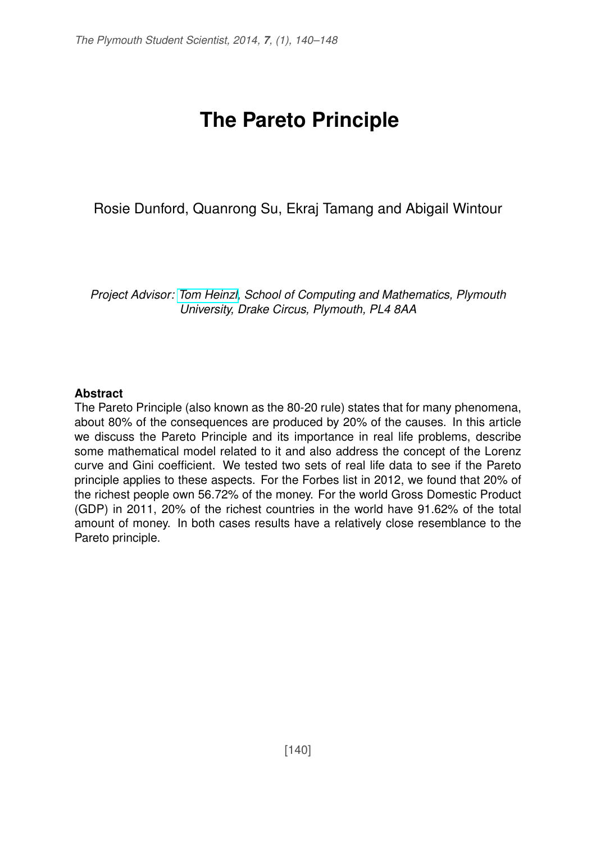# **The Pareto Principle**

Rosie Dunford, Quanrong Su, Ekraj Tamang and Abigail Wintour

*Project Advisor: [Tom Heinzl,](http://www.tech.plym.ac.uk/Research/applied_mathematics/people/tom_heinzl.htm) School of Computing and Mathematics, Plymouth University, Drake Circus, Plymouth, PL4 8AA*

#### **Abstract**

The Pareto Principle (also known as the 80-20 rule) states that for many phenomena, about 80% of the consequences are produced by 20% of the causes. In this article we discuss the Pareto Principle and its importance in real life problems, describe some mathematical model related to it and also address the concept of the Lorenz curve and Gini coefficient. We tested two sets of real life data to see if the Pareto principle applies to these aspects. For the Forbes list in 2012, we found that 20% of the richest people own 56.72% of the money. For the world Gross Domestic Product (GDP) in 2011, 20% of the richest countries in the world have 91.62% of the total amount of money. In both cases results have a relatively close resemblance to the Pareto principle.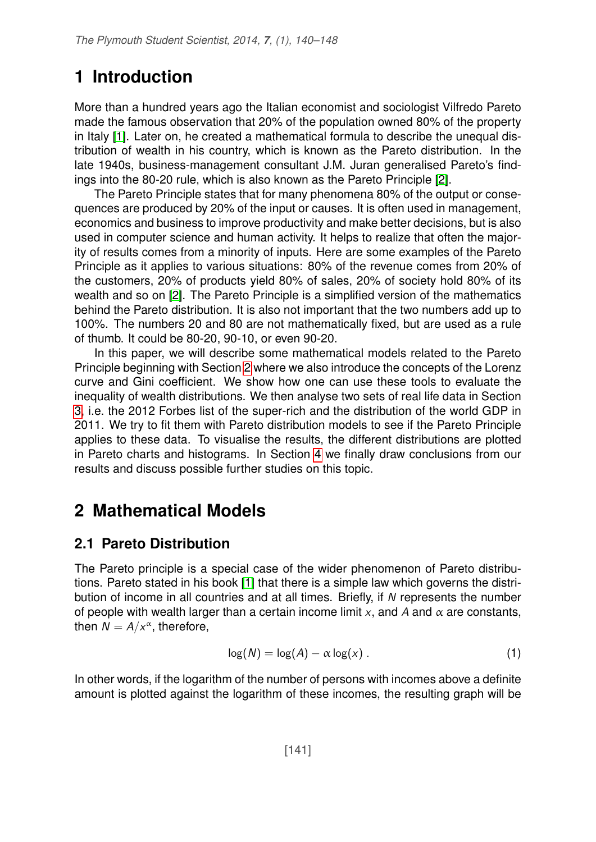## **1 Introduction**

More than a hundred years ago the Italian economist and sociologist Vilfredo Pareto made the famous observation that 20% of the population owned 80% of the property in Italy [\[1\]](#page-8-0). Later on, he created a mathematical formula to describe the unequal distribution of wealth in his country, which is known as the Pareto distribution. In the late 1940s, business-management consultant J.M. Juran generalised Pareto's findings into the 80-20 rule, which is also known as the Pareto Principle [\[2\]](#page-8-1).

The Pareto Principle states that for many phenomena 80% of the output or consequences are produced by 20% of the input or causes. It is often used in management, economics and business to improve productivity and make better decisions, but is also used in computer science and human activity. It helps to realize that often the majority of results comes from a minority of inputs. Here are some examples of the Pareto Principle as it applies to various situations: 80% of the revenue comes from 20% of the customers, 20% of products yield 80% of sales, 20% of society hold 80% of its wealth and so on [\[2\]](#page-8-1). The Pareto Principle is a simplified version of the mathematics behind the Pareto distribution. It is also not important that the two numbers add up to 100%. The numbers 20 and 80 are not mathematically fixed, but are used as a rule of thumb. It could be 80-20, 90-10, or even 90-20.

In this paper, we will describe some mathematical models related to the Pareto Principle beginning with Section [2](#page-1-0) where we also introduce the concepts of the Lorenz curve and Gini coefficient. We show how one can use these tools to evaluate the inequality of wealth distributions. We then analyse two sets of real life data in Section [3,](#page-4-0) i.e. the 2012 Forbes list of the super-rich and the distribution of the world GDP in 2011. We try to fit them with Pareto distribution models to see if the Pareto Principle applies to these data. To visualise the results, the different distributions are plotted in Pareto charts and histograms. In Section [4](#page-6-0) we finally draw conclusions from our results and discuss possible further studies on this topic.

## <span id="page-1-0"></span>**2 Mathematical Models**

#### **2.1 Pareto Distribution**

The Pareto principle is a special case of the wider phenomenon of Pareto distributions. Pareto stated in his book [\[1\]](#page-8-0) that there is a simple law which governs the distribution of income in all countries and at all times. Briefly, if N represents the number of people with wealth larger than a certain income limit x, and A and  $\alpha$  are constants, then  $N = A/x^{\alpha}$ , therefore,

$$
log(N) = log(A) - \alpha log(x) .
$$
 (1)

In other words, if the logarithm of the number of persons with incomes above a definite amount is plotted against the logarithm of these incomes, the resulting graph will be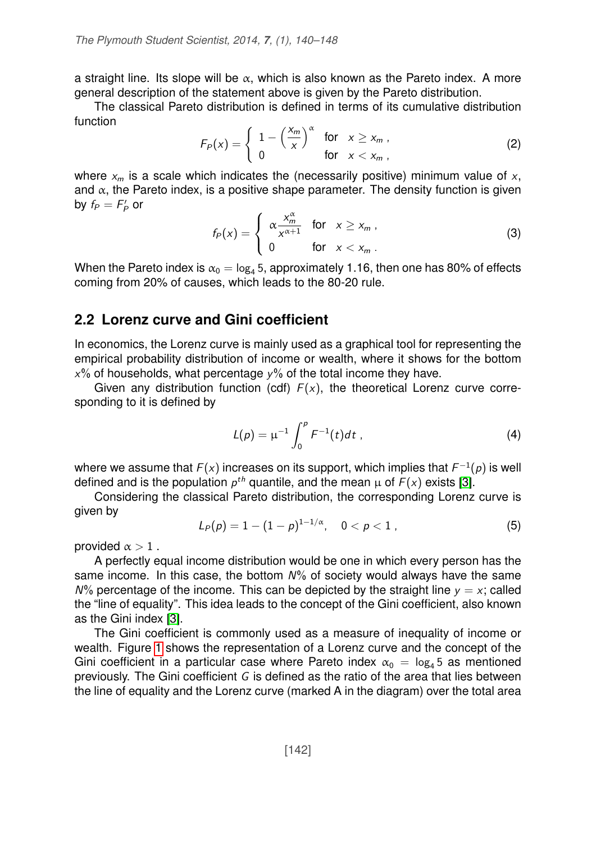a straight line. Its slope will be  $\alpha$ , which is also known as the Pareto index. A more general description of the statement above is given by the Pareto distribution.

The classical Pareto distribution is defined in terms of its cumulative distribution function

<span id="page-2-0"></span>
$$
F_P(x) = \begin{cases} 1 - \left(\frac{x_m}{x}\right)^\alpha & \text{for } x \ge x_m, \\ 0 & \text{for } x < x_m, \end{cases}
$$
 (2)

where  $x_m$  is a scale which indicates the (necessarily positive) minimum value of x, and  $\alpha$ , the Pareto index, is a positive shape parameter. The density function is given by  $f_P = F'_P$  or

<span id="page-2-1"></span>
$$
f_P(x) = \begin{cases} \alpha \frac{x_m^{\alpha}}{x^{\alpha+1}} & \text{for } x \geq x_m, \\ 0 & \text{for } x < x_m. \end{cases}
$$
 (3)

When the Pareto index is  $\alpha_0 = \log_4 5$ , approximately 1.16, then one has 80% of effects coming from 20% of causes, which leads to the 80-20 rule.

#### **2.2 Lorenz curve and Gini coefficient**

In economics, the Lorenz curve is mainly used as a graphical tool for representing the empirical probability distribution of income or wealth, where it shows for the bottom  $x\%$  of households, what percentage  $y\%$  of the total income they have.

Given any distribution function (cdf)  $F(x)$ , the theoretical Lorenz curve corresponding to it is defined by

$$
L(p) = \mu^{-1} \int_0^p F^{-1}(t) dt \tag{4}
$$

where we assume that  $F(x)$  increases on its support, which implies that  $F^{-1}(\rho)$  is well defined and is the population  $p^{th}$  quantile, and the mean  $\mu$  of  $F(x)$  exists [\[3\]](#page-8-2).

Considering the classical Pareto distribution, the corresponding Lorenz curve is given by

$$
L_P(p) = 1 - (1 - p)^{1 - 1/\alpha}, \quad 0 < p < 1 \tag{5}
$$

provided  $\alpha > 1$ .

A perfectly equal income distribution would be one in which every person has the same income. In this case, the bottom  $N\%$  of society would always have the same  $N\%$  percentage of the income. This can be depicted by the straight line  $y = x$ ; called the "line of equality". This idea leads to the concept of the Gini coefficient, also known as the Gini index [\[3\]](#page-8-2).

The Gini coefficient is commonly used as a measure of inequality of income or wealth. Figure [1](#page-3-0) shows the representation of a Lorenz curve and the concept of the Gini coefficient in a particular case where Pareto index  $\alpha_0 = \log_4 5$  as mentioned previously. The Gini coefficient G is defined as the ratio of the area that lies between the line of equality and the Lorenz curve (marked A in the diagram) over the total area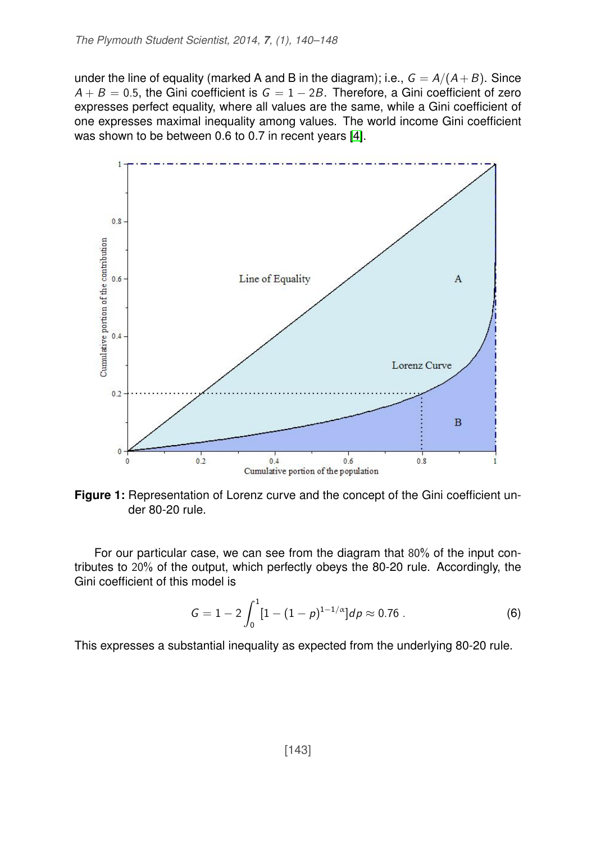under the line of equality (marked A and B in the diagram); i.e.,  $G = A/(A + B)$ . Since  $A + B = 0.5$ , the Gini coefficient is  $G = 1 - 2B$ . Therefore, a Gini coefficient of zero expresses perfect equality, where all values are the same, while a Gini coefficient of one expresses maximal inequality among values. The world income Gini coefficient was shown to be between 0.6 to 0.7 in recent years [\[4\]](#page-8-3).

<span id="page-3-0"></span>

**Figure 1:** Representation of Lorenz curve and the concept of the Gini coefficient under 80-20 rule.

For our particular case, we can see from the diagram that 80% of the input contributes to 20% of the output, which perfectly obeys the 80-20 rule. Accordingly, the Gini coefficient of this model is

$$
G = 1 - 2 \int_0^1 [1 - (1 - p)^{1 - 1/\alpha}] dp \approx 0.76 \ . \tag{6}
$$

This expresses a substantial inequality as expected from the underlying 80-20 rule.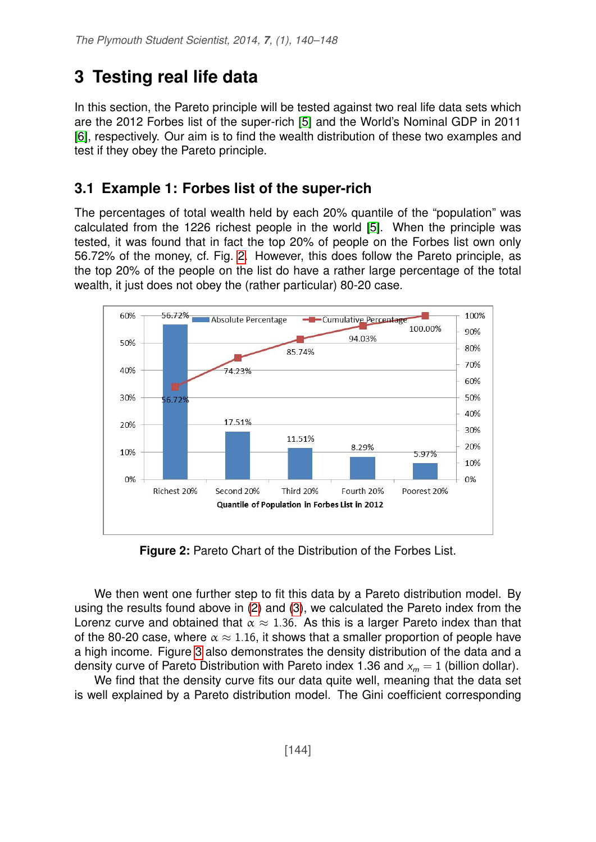## <span id="page-4-0"></span>**3 Testing real life data**

In this section, the Pareto principle will be tested against two real life data sets which are the 2012 Forbes list of the super-rich [\[5\]](#page-8-4) and the World's Nominal GDP in 2011 [\[6\]](#page-8-5), respectively. Our aim is to find the wealth distribution of these two examples and test if they obey the Pareto principle.

#### **3.1 Example 1: Forbes list of the super-rich**

The percentages of total wealth held by each 20% quantile of the "population" was calculated from the 1226 richest people in the world [\[5\]](#page-8-4). When the principle was tested, it was found that in fact the top 20% of people on the Forbes list own only 56.72% of the money, cf. Fig. [2.](#page-4-1) However, this does follow the Pareto principle, as the top 20% of the people on the list do have a rather large percentage of the total wealth, it just does not obey the (rather particular) 80-20 case.

<span id="page-4-1"></span>

**Figure 2:** Pareto Chart of the Distribution of the Forbes List.

We then went one further step to fit this data by a Pareto distribution model. By using the results found above in [\(2\)](#page-2-0) and [\(3\)](#page-2-1), we calculated the Pareto index from the Lorenz curve and obtained that  $\alpha \approx 1.36$ . As this is a larger Pareto index than that of the 80-20 case, where  $\alpha \approx 1.16$ , it shows that a smaller proportion of people have a high income. Figure [3](#page-5-0) also demonstrates the density distribution of the data and a density curve of Pareto Distribution with Pareto index 1.36 and  $x_m = 1$  (billion dollar).

We find that the density curve fits our data quite well, meaning that the data set is well explained by a Pareto distribution model. The Gini coefficient corresponding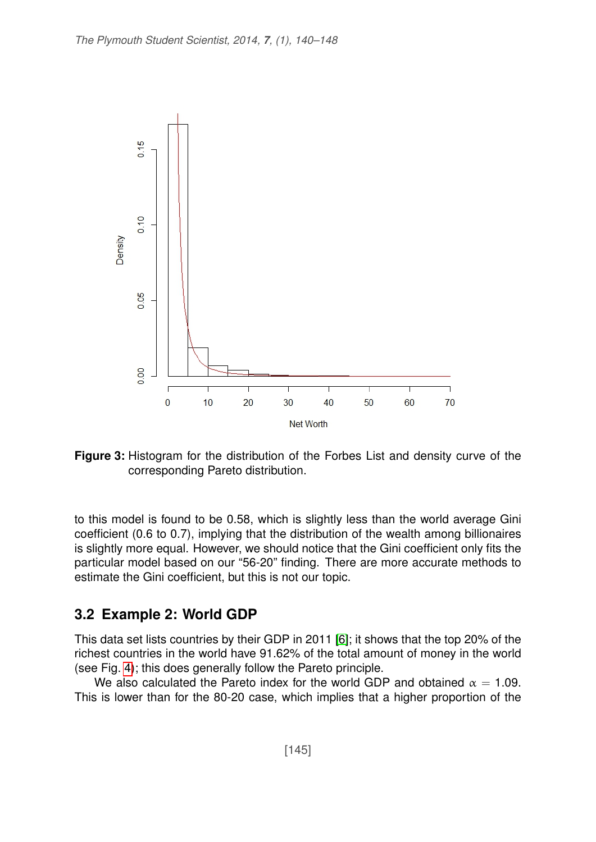<span id="page-5-0"></span>

**Figure 3:** Histogram for the distribution of the Forbes List and density curve of the corresponding Pareto distribution.

to this model is found to be 0.58, which is slightly less than the world average Gini coefficient (0.6 to 0.7), implying that the distribution of the wealth among billionaires is slightly more equal. However, we should notice that the Gini coefficient only fits the particular model based on our "56-20" finding. There are more accurate methods to estimate the Gini coefficient, but this is not our topic.

#### **3.2 Example 2: World GDP**

This data set lists countries by their GDP in 2011 [\[6\]](#page-8-5); it shows that the top 20% of the richest countries in the world have 91.62% of the total amount of money in the world (see Fig. [4\)](#page-6-1); this does generally follow the Pareto principle.

We also calculated the Pareto index for the world GDP and obtained  $\alpha = 1.09$ . This is lower than for the 80-20 case, which implies that a higher proportion of the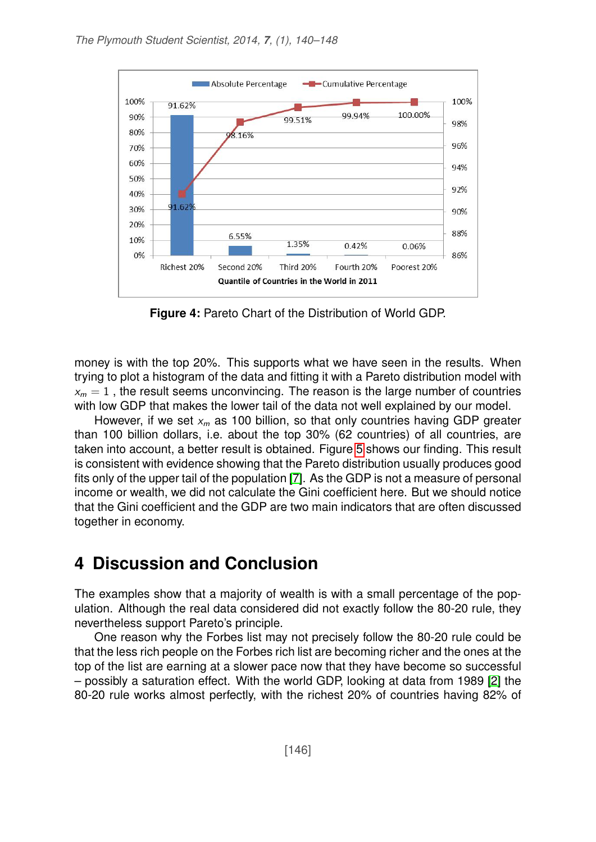<span id="page-6-1"></span>

**Figure 4:** Pareto Chart of the Distribution of World GDP.

money is with the top 20%. This supports what we have seen in the results. When trying to plot a histogram of the data and fitting it with a Pareto distribution model with  $x_m = 1$ , the result seems unconvincing. The reason is the large number of countries with low GDP that makes the lower tail of the data not well explained by our model.

However, if we set  $x_m$  as 100 billion, so that only countries having GDP greater than 100 billion dollars, i.e. about the top 30% (62 countries) of all countries, are taken into account, a better result is obtained. Figure [5](#page-7-0) shows our finding. This result is consistent with evidence showing that the Pareto distribution usually produces good fits only of the upper tail of the population [\[7\]](#page-8-6). As the GDP is not a measure of personal income or wealth, we did not calculate the Gini coefficient here. But we should notice that the Gini coefficient and the GDP are two main indicators that are often discussed together in economy.

### <span id="page-6-0"></span>**4 Discussion and Conclusion**

The examples show that a majority of wealth is with a small percentage of the population. Although the real data considered did not exactly follow the 80-20 rule, they nevertheless support Pareto's principle.

One reason why the Forbes list may not precisely follow the 80-20 rule could be that the less rich people on the Forbes rich list are becoming richer and the ones at the top of the list are earning at a slower pace now that they have become so successful – possibly a saturation effect. With the world GDP, looking at data from 1989 [\[2\]](#page-8-1) the 80-20 rule works almost perfectly, with the richest 20% of countries having 82% of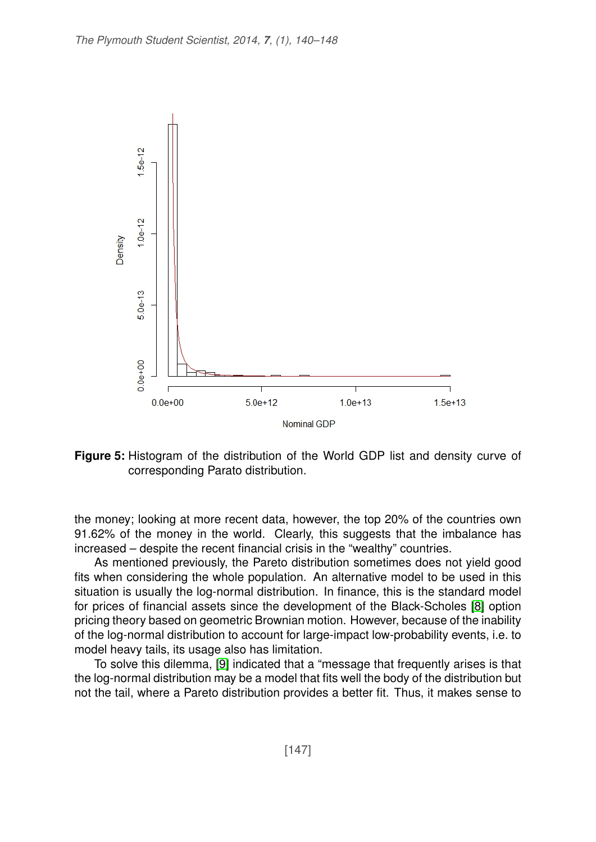<span id="page-7-0"></span>

**Figure 5:** Histogram of the distribution of the World GDP list and density curve of corresponding Parato distribution.

the money; looking at more recent data, however, the top 20% of the countries own 91.62% of the money in the world. Clearly, this suggests that the imbalance has increased – despite the recent financial crisis in the "wealthy" countries.

As mentioned previously, the Pareto distribution sometimes does not yield good fits when considering the whole population. An alternative model to be used in this situation is usually the log-normal distribution. In finance, this is the standard model for prices of financial assets since the development of the Black-Scholes [\[8\]](#page-8-7) option pricing theory based on geometric Brownian motion. However, because of the inability of the log-normal distribution to account for large-impact low-probability events, i.e. to model heavy tails, its usage also has limitation.

To solve this dilemma, [\[9\]](#page-8-8) indicated that a "message that frequently arises is that the log-normal distribution may be a model that fits well the body of the distribution but not the tail, where a Pareto distribution provides a better fit. Thus, it makes sense to